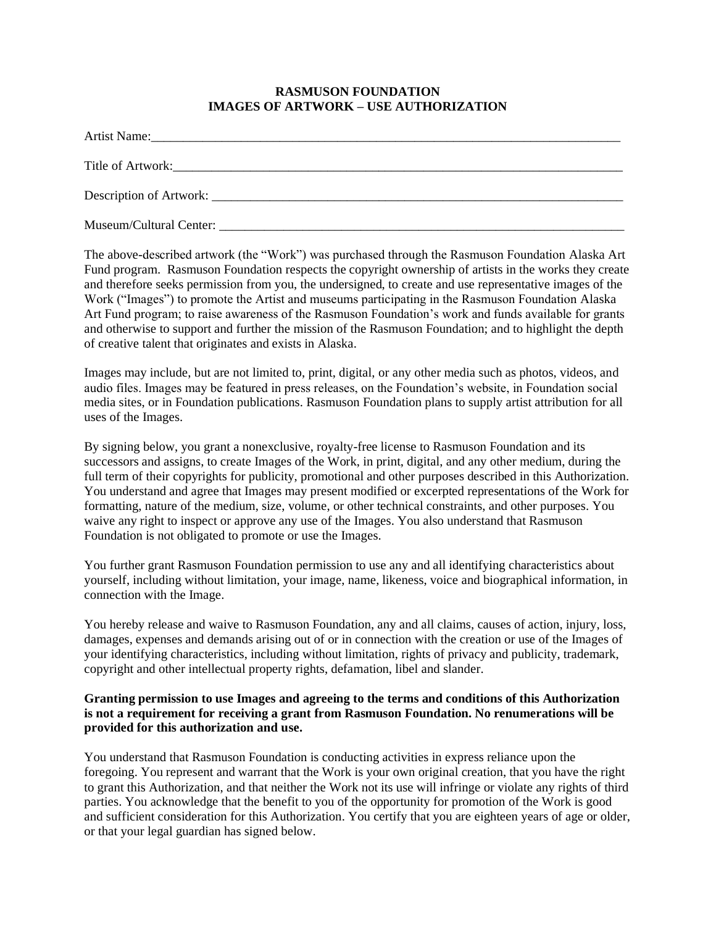## **RASMUSON FOUNDATION IMAGES OF ARTWORK – USE AUTHORIZATION**

The above-described artwork (the "Work") was purchased through the Rasmuson Foundation Alaska Art Fund program. Rasmuson Foundation respects the copyright ownership of artists in the works they create and therefore seeks permission from you, the undersigned, to create and use representative images of the Work ("Images") to promote the Artist and museums participating in the Rasmuson Foundation Alaska Art Fund program; to raise awareness of the Rasmuson Foundation's work and funds available for grants and otherwise to support and further the mission of the Rasmuson Foundation; and to highlight the depth of creative talent that originates and exists in Alaska.

Images may include, but are not limited to, print, digital, or any other media such as photos, videos, and audio files. Images may be featured in press releases, on the Foundation's website, in Foundation social media sites, or in Foundation publications. Rasmuson Foundation plans to supply artist attribution for all uses of the Images.

By signing below, you grant a nonexclusive, royalty-free license to Rasmuson Foundation and its successors and assigns, to create Images of the Work, in print, digital, and any other medium, during the full term of their copyrights for publicity, promotional and other purposes described in this Authorization. You understand and agree that Images may present modified or excerpted representations of the Work for formatting, nature of the medium, size, volume, or other technical constraints, and other purposes. You waive any right to inspect or approve any use of the Images. You also understand that Rasmuson Foundation is not obligated to promote or use the Images.

You further grant Rasmuson Foundation permission to use any and all identifying characteristics about yourself, including without limitation, your image, name, likeness, voice and biographical information, in connection with the Image.

You hereby release and waive to Rasmuson Foundation, any and all claims, causes of action, injury, loss, damages, expenses and demands arising out of or in connection with the creation or use of the Images of your identifying characteristics, including without limitation, rights of privacy and publicity, trademark, copyright and other intellectual property rights, defamation, libel and slander.

## **Granting permission to use Images and agreeing to the terms and conditions of this Authorization is not a requirement for receiving a grant from Rasmuson Foundation. No renumerations will be provided for this authorization and use.**

You understand that Rasmuson Foundation is conducting activities in express reliance upon the foregoing. You represent and warrant that the Work is your own original creation, that you have the right to grant this Authorization, and that neither the Work not its use will infringe or violate any rights of third parties. You acknowledge that the benefit to you of the opportunity for promotion of the Work is good and sufficient consideration for this Authorization. You certify that you are eighteen years of age or older, or that your legal guardian has signed below.